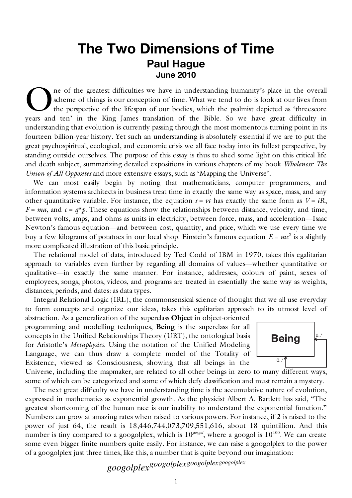## **The Two Dimensions of Time Paul Hague June 2010**

ne of the greatest difficulties we have in understanding humanity's place in the overall scheme of things is our conception of time. What we tend to do is look at our lives from the perspective of the lifespan of our bodies, which the psalmist depicted as 'threescore The of the greatest difficulties we have in understanding humanity's place in the overall scheme of things is our conception of time. What we tend to do is look at our lives from the perspective of the lifespan of our bodi understanding that evolution is currently passing through the most momentous turning point in its fourteen billion-year history. Yet such an understanding is absolutely essential if we are to put the great psychospiritual, ecological, and economic crisis we all face today into its fullest perspective, by standing outside ourselves. The purpose of this essay is thus to shed some light on this critical life and death subject, summarizing detailed expositions in various chapters of my book *Wholeness: The Union of All Opposites* and more extensive essays, such as 'Mapping the Universe'.

We can most easily begin by noting that mathematicians, computer programmers, and information systems architects in business treat time in exactly the same way as space, mass, and any other quantitative variable. For instance, the equation  $s = vt$  has exactly the same form as  $V = iR$ ,  $F = ma$ , and  $c = q^*p$ . These equations show the relationships between distance, velocity, and time, between volts, amps, and ohms as units in electricity, between force, mass, and acceleration—Isaac Newton's famous equation—and between cost, quantity, and price, which we use every time we buy a few kilograms of potatoes in our local shop. Einstein's famous equation  $E = mc^2$  is a slightly more complicated illustration of this basic principle.

The relational model of data, introduced by Ted Codd of IBM in 1970, takes this egalitarian approach to variables even further by regarding all domains of values—whether quantitative or qualitative—in exactly the same manner. For instance, addresses, colours of paint, sexes of employees, songs, photos, videos, and programs are treated in essentially the same way as weights, distances, periods, and dates: as data types.

Integral Relational Logic (IRL), the commonsensical science of thought that we all use everyday to form concepts and organize our ideas, takes this egalitarian approach to its utmost level of

abstraction. As a generalization of the superclass **Object** in object-oriented programming and modelling techniques, **Being** is the superclass for all concepts in the Unified Relationships Theory (URT), the ontological basis for Aristotle's *Metaphysics*. Using the notation of the Unified Modeling Language, we can thus draw a complete model of the Totality of Existence, viewed as Consciousness, showing that all beings in the



Universe, including the mapmaker, are related to all other beings in zero to many different ways, some of which can be categorized and some of which defy classification and must remain a mystery.

The next great difficulty we have in understanding time is the accumulative nature of evolution, expressed in mathematics as exponential growth. As the physicist Albert A. Bartlett has said, "The greatest shortcoming of the human race is our inability to understand the exponential function." Numbers can grow at amazing rates when raised to various powers. For instance, if 2 is raised to the power of just 64, the result is 18,446,744,073,709,551,616, about 18 quintillion. And this number is tiny compared to a googolplex, which is  $10^{100}$ , where a googol is  $10^{100}$ . We can create some even bigger finite numbers quite easily. For instance, we can raise a googolplex to the power of a googolplex just three times, like this, a number that is quite beyond our imagination:

*googolplexgoogolplexgoogolplexgoogolplex*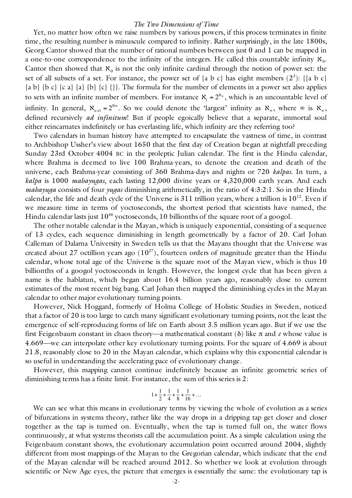## *The Two Dimensions of Time*

Yet, no matter how often we raise numbers by various powers, if this process terminates in finite time, the resulting number is minuscule compared to infinity. Rather surprisingly, in the late 1800s, Georg Cantor showed that the number of rational numbers between just 0 and 1 can be mapped in a one-to-one correspondence to the infinity of the integers. He called this countable infinity  $\aleph_0$ . Cantor then showed that  $\aleph_0$  is not the only infinite cardinal through the notion of power set: the set of all subsets of a set. For instance, the power set of  $\{a\ b\ c\}$  has eight members  $(2^3)$ :  $\{\{a\ b\ c\}$  ${a \ b} {b \ c} {c \ a} {a} {b} {c} {c} {l}.$  The formula for the number of elements in a power set also applies to sets with an infinite number of members. For instance  $X_1 = 2^{x_0}$ , which is an uncountable level of € either reincarnates indefinitely or has everlasting life, which infinity are they referring too? infinity. In general,  $\aleph_{n+1} = 2^{\aleph n}$ . So we could denote the 'largest' infinity as  $\aleph_{\infty}$ , where  $\infty$  is  $\aleph_{\infty}$ , defined recursively *ad infinitum*! But if people egoically believe that a separate, immortal soul

Two calendars in human history have attempted to encapsulate the vastness of time, in contrast to Archbishop Ussher's view about 1650 that the first day of Creation began at nightfall preceding Sunday 23rd October 4004 BC in the proleptic Julian calendar. The first is the Hindu calendar, where Brahma is deemed to live 100 Brahma-years, to denote the creation and death of the universe, each Brahma-year consisting of 360 Brahma-days and nights or 720 *kalpas*. In turn, a *kalpa* is 1000 *mahayugas*, each lasting 12,000 divine years or 4,320,000 earth years. And each *mahayuga* consists of four *yugas* diminishing arithmetically, in the ratio of 4:3:2:1. So in the Hindu calendar, the life and death cycle of the Universe is 311 trillion years, where a trillion is  $10^{12}$ . Even if we measure time in terms of yoctoseconds, the shortest period that scientists have named, the Hindu calendar lasts just  $10^{46}$  yoctoseconds, 10 billionths of the square root of a googol.

The other notable calendar is the Mayan, which is uniquely exponential, consisting of a sequence of 13 cycles, each sequence diminishing in length geometrically by a factor of 20. Carl Johan Calleman of Dalarna University in Sweden tells us that the Mayans thought that the Universe was created about 27 octillion years ago  $(10^{27})$ , fourteen orders of magnitude greater than the Hindu calendar, whose total age of the Universe is the square root of the Mayan view, which is thus 10 billionths of a googol yoctoseconds in length. However, the longest cycle that has been given a name is the hablatun, which began about 16.4 billion years ago, reasonably close to current estimates of the most recent big bang. Carl Johan then mapped the diminishing cycles in the Mayan calendar to other major evolutionary turning points.

However, Nick Hoggard, formerly of Holma College of Holistic Studies in Sweden, noticed that a factor of 20 is too large to catch many significant evolutionary turning points, not the least the emergence of self-reproducing forms of life on Earth about 3.5 million years ago. But if we use the first Feigenbaum constant in chaos theory—a mathematical constant (δ) like π and *e* whose value is 4.669—we can interpolate other key evolutionary turning points. For the square of 4.669 is about 21.8, reasonably close to 20 in the Mayan calendar, which explains why this exponential calendar is so useful in understanding the accelerating pace of evolutionary change.

However, this mapping cannot continue indefinitely because an infinite geometric series of diminishing terms has a finite limit. For instance, the sum of this series is 2:

$$
1 + \frac{1}{2} + \frac{1}{4} + \frac{1}{8} + \frac{1}{16} + \dots
$$

together as the tap is turned on. Eventually, when the tap is turned full on, the water flows We can see what this means in evolutionary terms by viewing the whole of evolution as a series of bifurcations in systems theory, rather like the way drops in a dripping tap get closer and closer continuously, at what systems theorists call the accumulation point. As a simple calculation using the Feigenbaum constant shows, the evolutionary accumulation point occurred around 2004, slightly different from most mappings of the Mayan to the Gregorian calendar, which indicate that the end of the Mayan calendar will be reached around 2012. So whether we look at evolution through scientific or New Age eyes, the picture that emerges is essentially the same: the evolutionary tap is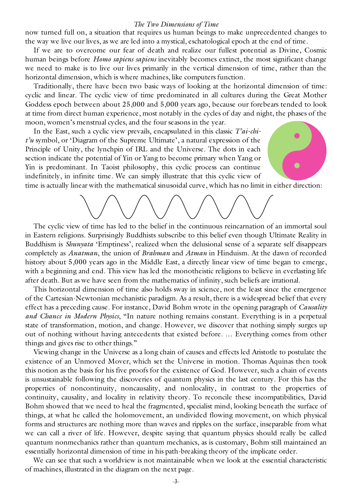## *The Two Dimensions of Time*

now turned full on, a situation that requires us human beings to make unprecedented changes to the way we live our lives, as we are led into a mystical, eschatological epoch at the end of time.

If we are to overcome our fear of death and realize our fullest potential as Divine, Cosmic human beings before *Homo sapiens sapiens* inevitably becomes extinct, the most significant change we need to make is to live our lives primarily in the vertical dimension of time, rather than the horizontal dimension, which is where machines, like computers function.

Traditionally, there have been two basic ways of looking at the horizontal dimension of time: cyclic and linear. The cyclic view of time predominated in all cultures during the Great Mother Goddess epoch between about 25,000 and 5,000 years ago, because our forebears tended to look at time from direct human experience, most notably in the cycles of day and night, the phases of the moon, women's menstrual cycles, and the four seasons in the year.

In the East, such a cyclic view prevails, encapsulated in this classic *T'ai-chit'u* symbol, or 'Diagram of the Supreme Ultimate', a natural expression of the Principle of Unity, the lynchpin of IRL and the Universe. The dots in each section indicate the potential of Yin or Yang to become primary when Yang or Yin is predominant. In Taoist philosophy, this cyclic process can continue indefinitely, in infinite time. We can simply illustrate that this cyclic view of

time is actually linear with the mathematical sinusoidal curve, which has no limit in either direction:

The cyclic view of time has led to the belief in the continuous reincarnation of an immortal soul in Eastern religions. Surprisingly Buddhists subscribe to this belief even though Ultimate Reality in Buddhism is *Shunyata* 'Emptiness', realized when the delusional sense of a separate self disappears completely as *Anatman*, the union of *Brahman* and *Atman* in Hinduism. At the dawn of recorded history about 5,000 years ago in the Middle East, a directly linear view of time began to emerge, with a beginning and end. This view has led the monotheistic religions to believe in everlasting life after death. But as we have seen from the mathematics of infinity, such beliefs are irrational.

This horizontal dimension of time also holds sway in science, not the least since the emergence of the Cartesian-Newtonian mechanistic paradigm. As a result, there is a widespread belief that every effect has a preceding cause. For instance, David Bohm wrote in the opening paragraph of *Causality and Chance in Modern Physics*, "In nature nothing remains constant. Everything is in a perpetual state of transformation, motion, and change. However, we discover that nothing simply surges up out of nothing without having antecedents that existed before. … Everything comes from other things and gives rise to other things."

Viewing change in the Universe as a long chain of causes and effects led Aristotle to postulate the existence of an Unmoved Mover, which set the Universe in motion. Thomas Aquinas then took this notion as the basis for his five proofs for the existence of God. However, such a chain of events is unsustainable following the discoveries of quantum physics in the last century. For this has the properties of noncontinuity, noncausality, and nonlocality, in contrast to the properties of continuity, causality, and locality in relativity theory. To reconcile these incompatibilities, David Bohm showed that we need to heal the fragmented, specialist mind, looking beneath the surface of things, at what he called the holomovement, an undivided flowing movement, on which physical forms and structures are nothing more than waves and ripples on the surface, inseparable from what we can call a river of life. However, despite saying that quantum physics should really be called quantum nonmechanics rather than quantum mechanics, as is customary, Bohm still maintained an essentially horizontal dimension of time in his path-breaking theory of the implicate order.

We can see that such a worldview is not maintainable when we look at the essential characteristic of machines, illustrated in the diagram on the next page.